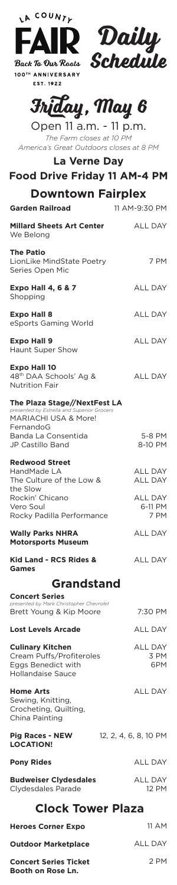| LA COUNTE                                                                                   |                        |  |
|---------------------------------------------------------------------------------------------|------------------------|--|
| <b>FAIR Daily</b><br>Back To Our Roots <b>Schedule</b>                                      |                        |  |
|                                                                                             |                        |  |
| 100TH ANNIVERSARY<br>EST. 1922                                                              |                        |  |
| <b>Inday, May 6</b>                                                                         |                        |  |
| Open 11 a.m. - 11 p.m.<br>The Farm closes at 10 PM                                          |                        |  |
| America's Great Outdoors closes at 8 PM<br><b>La Verne Day</b>                              |                        |  |
| <b>Food Drive Friday 11 AM-4 PM</b>                                                         |                        |  |
| <b>Downtown Fairplex</b><br><b>Garden Railroad</b>                                          | 11 AM-9:30 PM          |  |
| <b>Millard Sheets Art Center</b>                                                            | <b>ALL DAY</b>         |  |
| We Belong                                                                                   |                        |  |
| <b>The Patio</b><br>LionLike MindState Poetry<br>Series Open Mic                            | 7 PM                   |  |
| <b>Expo Hall 4, 6 &amp; 7</b><br>Shopping                                                   | <b>ALL DAY</b>         |  |
| <b>Expo Hall 8</b><br>eSports Gaming World                                                  | <b>ALL DAY</b>         |  |
| <b>Expo Hall 9</b><br>Haunt Super Show                                                      | <b>ALL DAY</b>         |  |
| <b>Expo Hall 10</b><br>48 <sup>th</sup> DAA Schools' Ag &<br><b>Nutrition Fair</b>          | ALL DAY                |  |
| The Plaza Stage//NextFest LA<br>presented by Estrella and Superior Grocers                  |                        |  |
| MARIACHI USA & More!<br>FernandoG<br>Banda La Consentida                                    | 5-8 PM                 |  |
| JP Castillo Band                                                                            | 8-10 PM                |  |
| <b>Redwood Street</b><br>HandMade LA<br>The Culture of the Low &                            | ALL DAY<br>ALL DAY     |  |
| the Slow<br>Rockin' Chicano                                                                 | <b>ALL DAY</b>         |  |
| Vero Soul<br>Rocky Padilla Performance                                                      | 6-11 PM<br>7 PM        |  |
| <b>Wally Parks NHRA</b><br><b>Motorsports Museum</b>                                        | ALL DAY                |  |
| <b>Kid Land - RCS Rides &amp;</b><br>Games                                                  | ALL DAY                |  |
| <b>Grandstand</b>                                                                           |                        |  |
| <b>Concert Series</b><br>presented by Mark Christopher Chevrolet<br>Brett Young & Kip Moore | 7:30 PM                |  |
| <b>Lost Levels Arcade</b>                                                                   | ALL DAY                |  |
| <b>Culinary Kitchen</b><br>Cream Puffs/Profiteroles                                         | <b>ALL DAY</b><br>3 PM |  |
| Eggs Benedict with<br><b>Hollandaise Sauce</b>                                              | 6PM                    |  |
| <b>Home Arts</b><br>Sewing, Knitting,<br>Crocheting, Quilting,<br>China Painting            | ALL DAY                |  |
| <b>Pig Races - NEW</b><br><b>LOCATION!</b>                                                  | 12, 2, 4, 6, 8, 10 PM  |  |
| <b>Pony Rides</b>                                                                           | ALL DAY                |  |
| <b>Budweiser Clydesdales</b><br>Clydesdales Parade                                          | ALL DAY<br>12 PM       |  |
| <b>Clock Tower Plaza</b>                                                                    |                        |  |
| <b>Heroes Corner Expo</b>                                                                   | 11 AM                  |  |
| <b>Outdoor Marketplace</b>                                                                  | <b>ALL DAY</b>         |  |
| <b>Concert Series Ticket</b><br>Booth on Rose Ln.                                           | 2 PM                   |  |